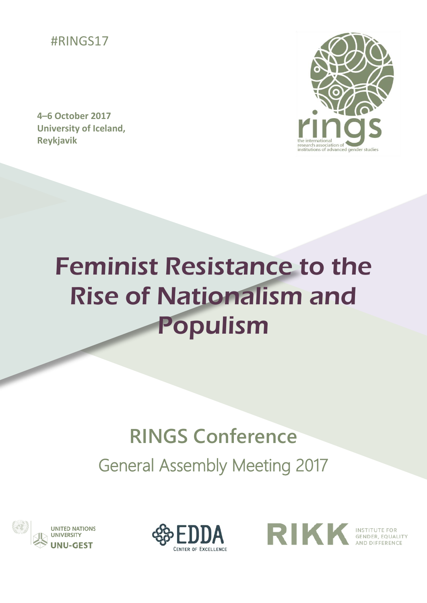

**4–6 October 2017 University of Iceland, Reykjavik** 



# Feminist Resistance to the Rise of Nationalism and Populism

### **RINGS Conference**

General Assembly Meeting 2017





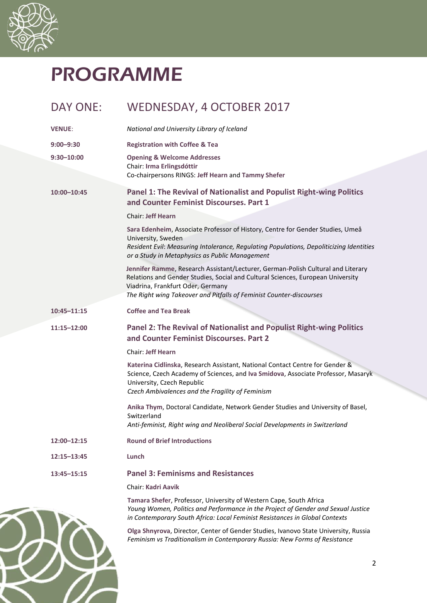

## PROGRAMME

| <b>DAY ONE:</b> | WEDNESDAY, 4 OCTOBER 2017                                                                                                                                                                                                                                                       |
|-----------------|---------------------------------------------------------------------------------------------------------------------------------------------------------------------------------------------------------------------------------------------------------------------------------|
| <b>VENUE:</b>   | National and University Library of Iceland                                                                                                                                                                                                                                      |
| $9:00 - 9:30$   | <b>Registration with Coffee &amp; Tea</b>                                                                                                                                                                                                                                       |
| $9:30 - 10:00$  | <b>Opening &amp; Welcome Addresses</b>                                                                                                                                                                                                                                          |
|                 | Chair: Irma Erlingsdóttir<br>Co-chairpersons RINGS: Jeff Hearn and Tammy Shefer                                                                                                                                                                                                 |
| 10:00-10:45     | Panel 1: The Revival of Nationalist and Populist Right-wing Politics<br>and Counter Feminist Discourses. Part 1                                                                                                                                                                 |
|                 | <b>Chair: Jeff Hearn</b>                                                                                                                                                                                                                                                        |
|                 | Sara Edenheim, Associate Professor of History, Centre for Gender Studies, Umeå<br>University, Sweden<br>Resident Evil: Measuring Intolerance, Regulating Populations, Depoliticizing Identities<br>or a Study in Metaphysics as Public Management                               |
|                 | Jennifer Ramme, Research Assistant/Lecturer, German-Polish Cultural and Literary<br>Relations and Gender Studies, Social and Cultural Sciences, European University<br>Viadrina, Frankfurt Oder, Germany<br>The Right wing Takeover and Pitfalls of Feminist Counter-discourses |
| $10:45 - 11:15$ | <b>Coffee and Tea Break</b>                                                                                                                                                                                                                                                     |
| 11:15-12:00     | Panel 2: The Revival of Nationalist and Populist Right-wing Politics<br>and Counter Feminist Discourses. Part 2                                                                                                                                                                 |
|                 | <b>Chair: Jeff Hearn</b>                                                                                                                                                                                                                                                        |
|                 | Katerina Cidlinska, Research Assistant, National Contact Centre for Gender &<br>Science, Czech Academy of Sciences, and Iva Smidova, Associate Professor, Masaryk<br>University, Czech Republic<br>Czech Ambivalences and the Fragility of Feminism                             |
|                 | Anika Thym, Doctoral Candidate, Network Gender Studies and University of Basel,<br>Switzerland<br>Anti-feminist, Right wing and Neoliberal Social Developments in Switzerland                                                                                                   |
| 12:00-12:15     | <b>Round of Brief Introductions</b>                                                                                                                                                                                                                                             |
| $12:15 - 13:45$ | Lunch                                                                                                                                                                                                                                                                           |
| 13:45-15:15     | <b>Panel 3: Feminisms and Resistances</b>                                                                                                                                                                                                                                       |
|                 | <b>Chair: Kadri Aavik</b>                                                                                                                                                                                                                                                       |
|                 | Tamara Shefer, Professor, University of Western Cape, South Africa<br>Young Women, Politics and Performance in the Project of Gender and Sexual Justice<br>in Contemporary South Africa: Local Feminist Resistances in Global Contexts                                          |
|                 | Olga Shnyrova, Director, Center of Gender Studies, Ivanovo State University, Russia<br>Feminism vs Traditionalism in Contemporary Russia: New Forms of Resistance                                                                                                               |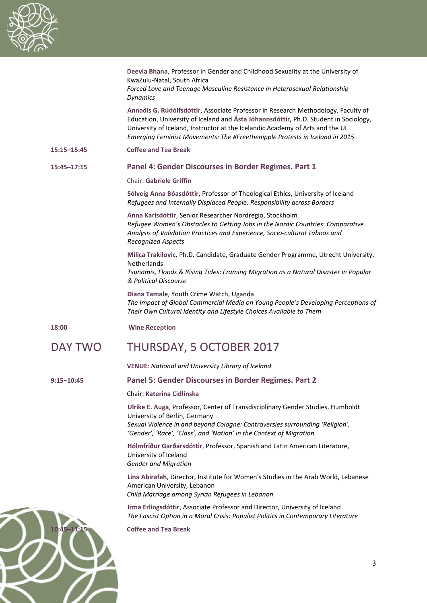

|                | Deevia Bhana, Professor in Gender and Childhood Sexuality at the University of<br>KwaZulu-Natal, South Africa                                                                                                                                                                                                                             |
|----------------|-------------------------------------------------------------------------------------------------------------------------------------------------------------------------------------------------------------------------------------------------------------------------------------------------------------------------------------------|
|                | Forced Love and Teenage Masculine Resistance in Heterosexual Relationship<br><b>Dynamics</b>                                                                                                                                                                                                                                              |
|                | Annadís G. Rúdólfsdóttir, Associate Professor in Research Methodology, Faculty of<br>Education, University of Iceland and Ásta Jóhannsdóttir, Ph.D. Student in Sociology,<br>University of Iceland, Instructor at the Icelandic Academy of Arts and the UI<br>Emerging Feminist Movements: The #Freethenipple Protests in Iceland in 2015 |
| 15:15-15:45    | <b>Coffee and Tea Break</b>                                                                                                                                                                                                                                                                                                               |
| 15:45-17:15    | Panel 4: Gender Discourses in Border Regimes. Part 1                                                                                                                                                                                                                                                                                      |
|                | <b>Chair: Gabriele Griffin</b>                                                                                                                                                                                                                                                                                                            |
|                | Sólveig Anna Bóasdóttir, Professor of Theological Ethics, University of Iceland<br>Refugees and Internally Displaced People: Responsibility across Borders                                                                                                                                                                                |
|                | Anna Karlsdóttir, Senior Researcher Nordregio, Stockholm<br>Refugee Women's Obstacles to Getting Jobs in the Nordic Countries: Comparative<br>Analysis of Validation Practices and Experience, Socio-cultural Taboos and<br><b>Recognized Aspects</b>                                                                                     |
|                | Milica Trakilovic, Ph.D. Candidate, Graduate Gender Programme, Utrecht University,<br>Netherlands<br>Tsunamis, Floods & Rising Tides: Framing Migration as a Natural Disaster in Popular<br>& Political Discourse                                                                                                                         |
|                | Diana Tamale, Youth Crime Watch, Uganda<br>The Impact of Global Commercial Media on Young People's Developing Perceptions of<br>Their Own Cultural Identity and Lifestyle Choices Available to Them                                                                                                                                       |
| 18:00          | <b>Wine Reception</b>                                                                                                                                                                                                                                                                                                                     |
| <b>DAY TWO</b> | <b>THURSDAY, 5 OCTOBER 2017</b>                                                                                                                                                                                                                                                                                                           |
|                | <b>VENUE: National and University Library of Iceland</b>                                                                                                                                                                                                                                                                                  |
| $9:15 - 10:45$ | Panel 5: Gender Discourses in Border Regimes. Part 2                                                                                                                                                                                                                                                                                      |
|                | <b>Chair: Katerina Cidlinska</b>                                                                                                                                                                                                                                                                                                          |
|                | Ulrike E. Auga, Professor, Center of Transdisciplinary Gender Studies, Humboldt<br>University of Berlin, Germany<br>Sexual Violence in and beyond Cologne: Controversies surrounding 'Religion',                                                                                                                                          |
|                | 'Gender', 'Race', 'Class', and 'Nation' in the Context of Migration                                                                                                                                                                                                                                                                       |
|                | Hólmfríður Garðarsdóttir, Professor, Spanish and Latin American Literature,<br>University of Iceland<br><b>Gender and Migration</b>                                                                                                                                                                                                       |
|                | Lina Abirafeh, Director, Institute for Women's Studies in the Arab World, Lebanese<br>American University, Lebanon<br>Child Marriage among Syrian Refugees in Lebanon                                                                                                                                                                     |
|                | Irma Erlingsdóttir, Associate Professor and Director, University of Iceland<br>The Fascist Option in a Moral Crisis: Populist Politics in Contemporary Literature                                                                                                                                                                         |

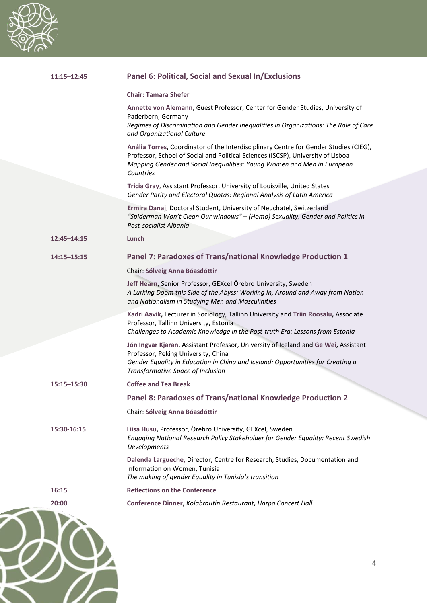

ł

۷

A

| $11:15 - 12:45$ | Panel 6: Political, Social and Sexual In/Exclusions                                                                                                                                                                                                               |
|-----------------|-------------------------------------------------------------------------------------------------------------------------------------------------------------------------------------------------------------------------------------------------------------------|
|                 | <b>Chair: Tamara Shefer</b>                                                                                                                                                                                                                                       |
|                 | Annette von Alemann, Guest Professor, Center for Gender Studies, University of<br>Paderborn, Germany<br>Regimes of Discrimination and Gender Inequalities in Organizations: The Role of Care<br>and Organizational Culture                                        |
|                 | Anália Torres, Coordinator of the Interdisciplinary Centre for Gender Studies (CIEG),<br>Professor, School of Social and Political Sciences (ISCSP), University of Lisboa<br>Mapping Gender and Social Inequalities: Young Women and Men in European<br>Countries |
|                 | Tricia Gray, Assistant Professor, University of Louisville, United States<br>Gender Parity and Electoral Quotas: Regional Analysis of Latin America                                                                                                               |
|                 | Ermira Danaj, Doctoral Student, University of Neuchatel, Switzerland<br>"Spiderman Won't Clean Our windows" - (Homo) Sexuality, Gender and Politics in<br>Post-socialist Albania                                                                                  |
| $12:45 - 14:15$ | Lunch                                                                                                                                                                                                                                                             |
| $14:15 - 15:15$ | Panel 7: Paradoxes of Trans/national Knowledge Production 1                                                                                                                                                                                                       |
|                 | Chair: Sólveig Anna Bóasdóttir                                                                                                                                                                                                                                    |
|                 | Jeff Hearn, Senior Professor, GEXcel Örebro University, Sweden<br>A Lurking Doom this Side of the Abyss: Working In, Around and Away from Nation<br>and Nationalism in Studying Men and Masculinities                                                             |
|                 | Kadri Aavik, Lecturer in Sociology, Tallinn University and Triin Roosalu, Associate<br>Professor, Tallinn University, Estonia<br>Challenges to Academic Knowledge in the Post-truth Era: Lessons from Estonia                                                     |
|                 | Jón Ingvar Kjaran, Assistant Professor, University of Iceland and Ge Wei, Assistant<br>Professor, Peking University, China<br>Gender Equality in Education in China and Iceland: Opportunities for Creating a<br>Transformative Space of Inclusion                |
| 15:15-15:30     | <b>Coffee and Tea Break</b>                                                                                                                                                                                                                                       |
|                 | Panel 8: Paradoxes of Trans/national Knowledge Production 2                                                                                                                                                                                                       |
|                 | Chair: Sólveig Anna Bóasdóttir                                                                                                                                                                                                                                    |
| 15:30-16:15     | Liisa Husu, Professor, Örebro University, GEXcel, Sweden<br>Engaging National Research Policy Stakeholder for Gender Equality: Recent Swedish<br>Developments                                                                                                     |
|                 | Dalenda Largueche, Director, Centre for Research, Studies, Documentation and<br>Information on Women, Tunisia<br>The making of gender Equality in Tunisia's transition                                                                                            |
| 16:15           | <b>Reflections on the Conference</b>                                                                                                                                                                                                                              |
| 20:00           | Conference Dinner, Kolabrautin Restaurant, Harpa Concert Hall                                                                                                                                                                                                     |
|                 |                                                                                                                                                                                                                                                                   |